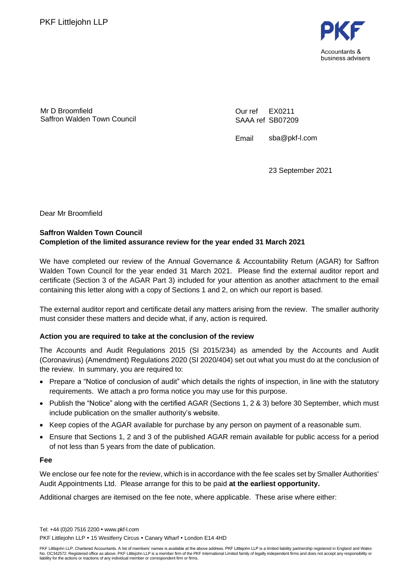

Mr D Broomfield Saffron Walden Town Council Our ref SAAA ref SB07209 EX0211

Email sba@pkf-l.com

23 September 2021

Dear Mr Broomfield

## **Saffron Walden Town Council Completion of the limited assurance review for the year ended 31 March 2021**

We have completed our review of the Annual Governance & Accountability Return (AGAR) for Saffron Walden Town Council for the year ended 31 March 2021. Please find the external auditor report and certificate (Section 3 of the AGAR Part 3) included for your attention as another attachment to the email containing this letter along with a copy of Sections 1 and 2, on which our report is based.

The external auditor report and certificate detail any matters arising from the review. The smaller authority must consider these matters and decide what, if any, action is required.

### **Action you are required to take at the conclusion of the review**

The Accounts and Audit Regulations 2015 (SI 2015/234) as amended by the Accounts and Audit (Coronavirus) (Amendment) Regulations 2020 (SI 2020/404) set out what you must do at the conclusion of the review. In summary, you are required to:

- Prepare a "Notice of conclusion of audit" which details the rights of inspection, in line with the statutory requirements. We attach a pro forma notice you may use for this purpose.
- Publish the "Notice" along with the certified AGAR (Sections 1, 2 & 3) before 30 September, which must include publication on the smaller authority's website.
- Keep copies of the AGAR available for purchase by any person on payment of a reasonable sum.
- Ensure that Sections 1, 2 and 3 of the published AGAR remain available for public access for a period of not less than 5 years from the date of publication.

**Fee**

We enclose our fee note for the review, which is in accordance with the fee scales set by Smaller Authorities' Audit Appointments Ltd. Please arrange for this to be paid **at the earliest opportunity.**

Additional charges are itemised on the fee note, where applicable. These arise where either:

Tel: +44 (0)20 7516 2200 www.pkf-l.com PKF Littleiohn LLP • 15 Westferry Circus • Canary Wharf • London E14 4HD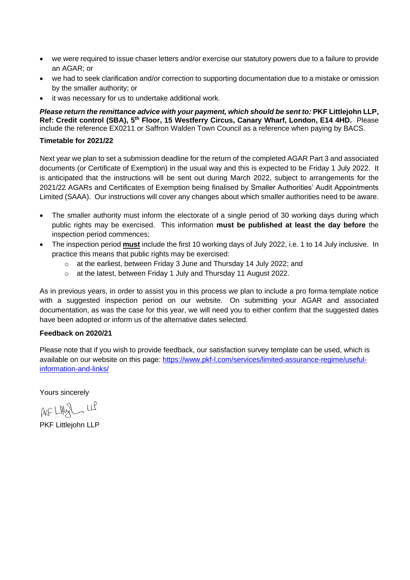- we were required to issue chaser letters and/or exercise our statutory powers due to a failure to provide an AGAR; or
- we had to seek clarification and/or correction to supporting documentation due to a mistake or omission by the smaller authority; or
- it was necessary for us to undertake additional work.

*Please return the remittance advice with your payment, which should be sent to:* **PKF Littlejohn LLP,**  Ref: Credit control (SBA), 5<sup>th</sup> Floor, 15 Westferry Circus, Canary Wharf, London, E14 4HD. Please include the reference EX0211 or Saffron Walden Town Council as a reference when paying by BACS.

### **Timetable for 2021/22**

Next year we plan to set a submission deadline for the return of the completed AGAR Part 3 and associated documents (or Certificate of Exemption) in the usual way and this is expected to be Friday 1 July 2022. It is anticipated that the instructions will be sent out during March 2022, subject to arrangements for the 2021/22 AGARs and Certificates of Exemption being finalised by Smaller Authorities' Audit Appointments Limited (SAAA). Our instructions will cover any changes about which smaller authorities need to be aware.

- The smaller authority must inform the electorate of a single period of 30 working days during which public rights may be exercised. This information **must be published at least the day before** the inspection period commences;
- The inspection period **must** include the first 10 working days of July 2022, i.e. 1 to 14 July inclusive. In practice this means that public rights may be exercised:
	- o at the earliest, between Friday 3 June and Thursday 14 July 2022; and
	- o at the latest, between Friday 1 July and Thursday 11 August 2022.

As in previous years, in order to assist you in this process we plan to include a pro forma template notice with a suggested inspection period on our website. On submitting your AGAR and associated documentation, as was the case for this year, we will need you to either confirm that the suggested dates have been adopted or inform us of the alternative dates selected.

### **Feedback on 2020/21**

Please note that if you wish to provide feedback, our satisfaction survey template can be used, which is available on our website on this page: [https://www.pkf-l.com/services/limited-assurance-regime/useful](https://www.pkf-l.com/services/limited-assurance-regime/useful-information-and-links/)[information-and-links/](https://www.pkf-l.com/services/limited-assurance-regime/useful-information-and-links/)

Yours sincerely

 $AFLHQLHQ$ 

PKF Littlejohn LLP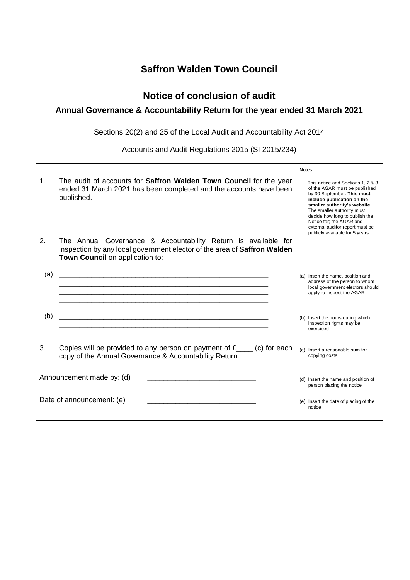## **Saffron Walden Town Council**

## **Notice of conclusion of audit**

## **Annual Governance & Accountability Return for the year ended 31 March 2021**

Sections 20(2) and 25 of the Local Audit and Accountability Act 2014

Accounts and Audit Regulations 2015 (SI 2015/234)

|                           |                                                                                                                                                                               | <b>Notes</b>                                                                                                                                                                                                                                                                                                                     |
|---------------------------|-------------------------------------------------------------------------------------------------------------------------------------------------------------------------------|----------------------------------------------------------------------------------------------------------------------------------------------------------------------------------------------------------------------------------------------------------------------------------------------------------------------------------|
| 1.                        | The audit of accounts for Saffron Walden Town Council for the year<br>ended 31 March 2021 has been completed and the accounts have been<br>published.                         | This notice and Sections 1, 2 & 3<br>of the AGAR must be published<br>by 30 September. This must<br>include publication on the<br>smaller authority's website.<br>The smaller authority must<br>decide how long to publish the<br>Notice for: the AGAR and<br>external auditor report must be<br>publicly available for 5 years. |
| 2.                        | The Annual Governance & Accountability Return is available for<br>inspection by any local government elector of the area of Saffron Walden<br>Town Council on application to: |                                                                                                                                                                                                                                                                                                                                  |
| (a)                       | <u> 1989 - Johann John Stoff, deutscher Stoffen und der Stoffen und der Stoffen und der Stoffen und der Stoffen u</u>                                                         | (a) Insert the name, position and<br>address of the person to whom<br>local government electors should<br>apply to inspect the AGAR                                                                                                                                                                                              |
| (b)                       |                                                                                                                                                                               | (b) Insert the hours during which<br>inspection rights may be<br>exercised                                                                                                                                                                                                                                                       |
| 3.                        | Copies will be provided to any person on payment of $f_{\text{max}}$ (c) for each<br>copy of the Annual Governance & Accountability Return.                                   | (c) Insert a reasonable sum for<br>copying costs                                                                                                                                                                                                                                                                                 |
| Announcement made by: (d) |                                                                                                                                                                               | (d) Insert the name and position of<br>person placing the notice                                                                                                                                                                                                                                                                 |
| Date of announcement: (e) |                                                                                                                                                                               | (e) Insert the date of placing of the<br>notice                                                                                                                                                                                                                                                                                  |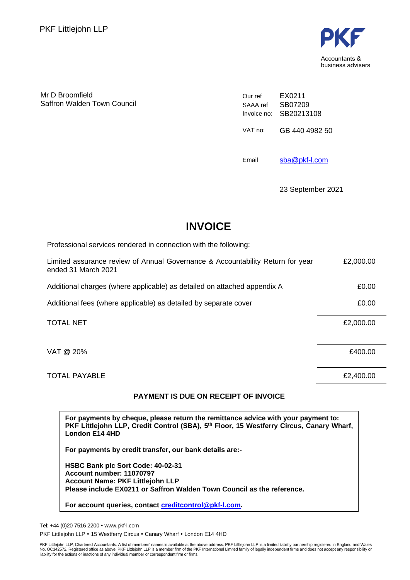

Mr D Broomfield Saffron Walden Town Council Our ref SAAA ref Invoice no: SB20213108 EX0211 SB07209 VAT no: GB 440 4982 50

Email [sba@pkf-l.com](mailto:sba@pkf-l.com)

23 September 2021

# **INVOICE**

Professional services rendered in connection with the following: Limited assurance review of Annual Governance & Accountability Return for year ended 31 March 2021 £2,000.00 Additional charges (where applicable) as detailed on attached appendix A  $\qquad 20.00$ Additional fees (where applicable) as detailed by separate cover  $£0.00$ TOTAL NET £2,000.00  $VAT \ @ \ 20\%$   $\epsilon$ 400.00

TOTAL PAYABLE **EXAMPLE EXAMPLE EXAMPLE EXAMPLE EXAMPLE EXAMPLE EXAMPLE EXAMPLE** 

## **PAYMENT IS DUE ON RECEIPT OF INVOICE**

**For payments by cheque, please return the remittance advice with your payment to: PKF Littlejohn LLP, Credit Control (SBA), 5 th Floor, 15 Westferry Circus, Canary Wharf, London E14 4HD**

**For payments by credit transfer, our bank details are:-**

**HSBC Bank plc Sort Code: 40-02-31 Account number: 11070797 Account Name: PKF Littlejohn LLP Please include EX0211 or Saffron Walden Town Council as the reference.**

**For account queries, contact [creditcontrol@pkf-l.com.](mailto:creditcontrol@pkf-l.com)**

Tel: +44 (0)20 7516 2200 www.pkf-l.com PKF Littlejohn LLP . 15 Westferry Circus . Canary Wharf . London E14 4HD

PKF Littlejohn LLP, Chartered Accountants. A list of members' names is available at the above address. PKF Littlejohn LLP is a limited liability partnership registered in England and Wales<br>No. OC342572. Registered office a liability for the actions or inactions of any individual member or correspondent firm or firms.